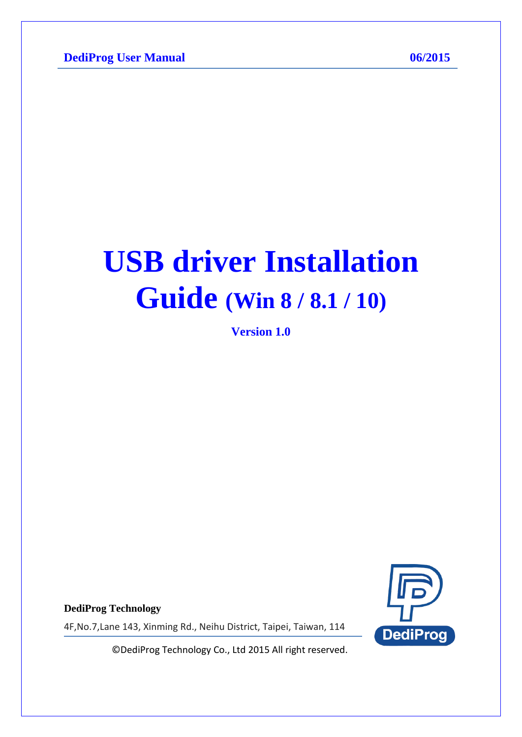# **USB driver Installation Guide (Win 8 / 8.1 / 10)**

**Version 1.0**



**DediProg Technology**

4F,No.7,Lane 143, Xinming Rd., Neihu District, Taipei, Taiwan, 114

© DediProg Technology Co., Ltd 2015 All right reserved.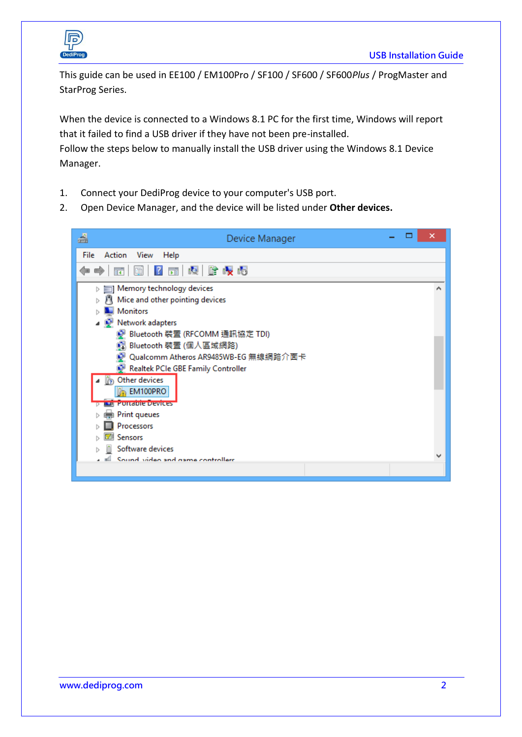

This guide can be used in EE100 / EM100Pro / SF100 / SF600 / SF600*Plus* / ProgMaster and StarProg Series.

When the device is connected to a Windows 8.1 PC for the first time, Windows will report that it failed to find a USB driver if they have not been pre-installed.

Follow the steps below to manually install the USB driver using the Windows 8.1 Device Manager.

- 1. Connect your DediProg device to your computer's USB port.
- 2. Open Device Manager, and the device will be listed under **Other devices.**

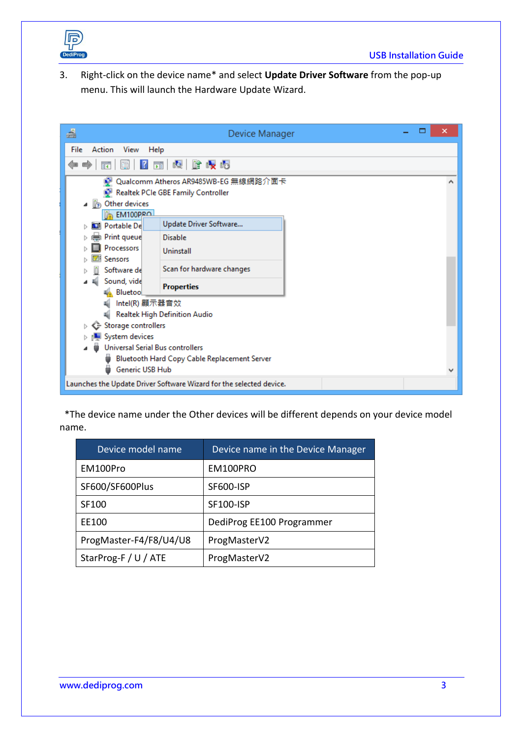

3. Right-click on the device name\* and select **Update Driver Software** from the pop-up menu. This will launch the Hardware Update Wizard.

| 녬<br>Device Manager                                                 |  |   |
|---------------------------------------------------------------------|--|---|
| Action View<br>File<br>Help                                         |  |   |
| 2 司 週 館 収 喝<br>譚<br>圍<br>¢<br>$\Rightarrow$                         |  |   |
| Qualcomm Atheros AR9485WB-EG 無線網路介面卡                                |  | ^ |
| Realtek PCIe GBE Family Controller                                  |  |   |
| Other devices<br>$\mathbb{R}$                                       |  |   |
| EM100PRO                                                            |  |   |
| Update Driver Software<br><b>D</b> Portable De                      |  |   |
| Print queue<br><b>Disable</b>                                       |  |   |
| Processors<br>Uninstall                                             |  |   |
| <b>Sensors</b>                                                      |  |   |
| Scan for hardware changes<br>Software de                            |  |   |
| Sound, vide<br><b>Properties</b><br>Bluetoo                         |  |   |
| Intel(R) 顯示器音效                                                      |  |   |
| Realtek High Definition Audio                                       |  |   |
| Storage controllers<br>⊳ G                                          |  |   |
| System devices                                                      |  |   |
| Universal Serial Bus controllers                                    |  |   |
| Bluetooth Hard Copy Cable Replacement Server                        |  |   |
| Generic USB Hub                                                     |  | v |
| Launches the Update Driver Software Wizard for the selected device. |  |   |

 \*The device name under the Other devices will be different depends on your device model name.

| Device model name      | Device name in the Device Manager |
|------------------------|-----------------------------------|
| EM100Pro               | EM100PRO                          |
| SF600/SF600Plus        | <b>SF600-ISP</b>                  |
| SF100                  | <b>SF100-ISP</b>                  |
| EE100                  | DediProg EE100 Programmer         |
| ProgMaster-F4/F8/U4/U8 | ProgMasterV2                      |
| StarProg-F / U / ATE   | ProgMasterV2                      |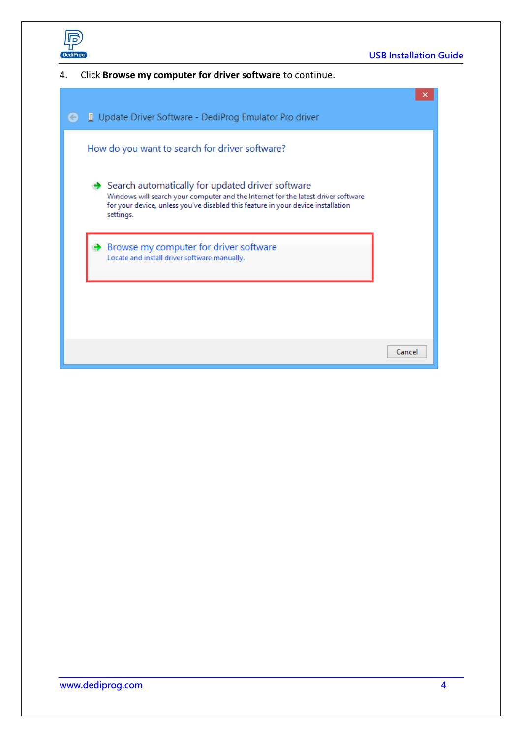

4. Click **Browse my computer for driver software** to continue.

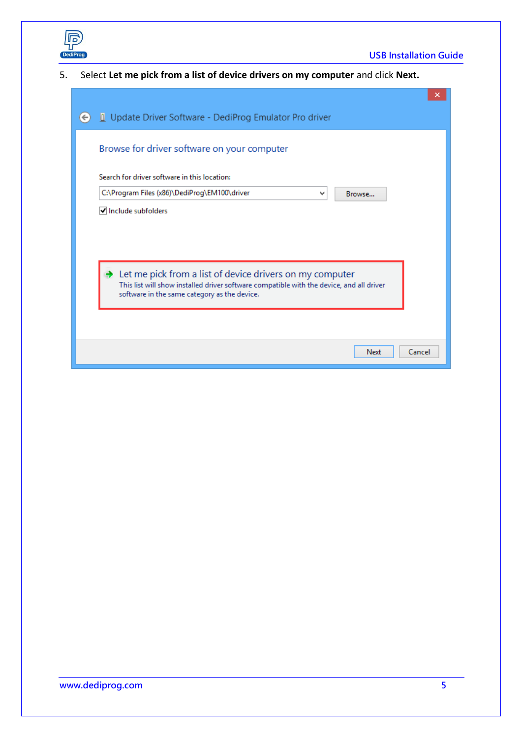

5. Select **Let me pick from a list of device drivers on my computer** and click **Next.**

|              | ×                                                                                                                                                                                                    |
|--------------|------------------------------------------------------------------------------------------------------------------------------------------------------------------------------------------------------|
| $\leftarrow$ | Update Driver Software - DediProg Emulator Pro driver                                                                                                                                                |
|              | Browse for driver software on your computer                                                                                                                                                          |
|              | Search for driver software in this location:                                                                                                                                                         |
|              | C:\Program Files (x86)\DediProg\EM100\driver<br>٧<br>Browse                                                                                                                                          |
|              | Include subfolders                                                                                                                                                                                   |
|              |                                                                                                                                                                                                      |
|              |                                                                                                                                                                                                      |
|              | Let me pick from a list of device drivers on my computer<br>This list will show installed driver software compatible with the device, and all driver<br>software in the same category as the device. |
|              |                                                                                                                                                                                                      |
|              | Cancel<br>Next                                                                                                                                                                                       |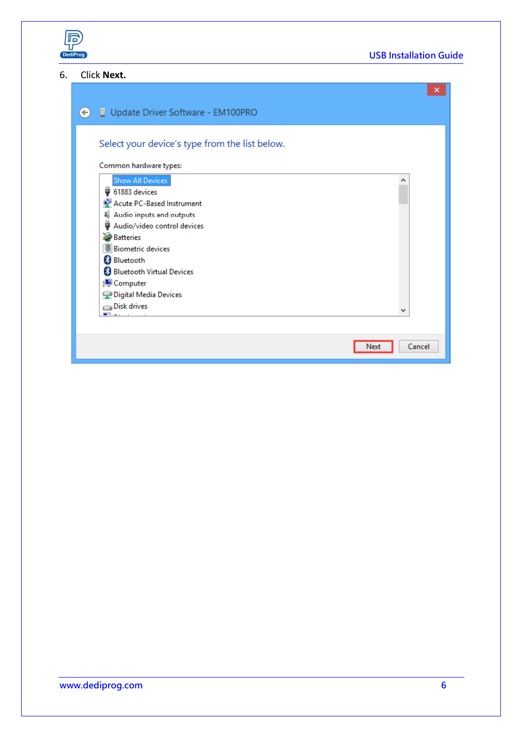

#### 6. Click **Next.**

|                                                   | ×              |
|---------------------------------------------------|----------------|
| Update Driver Software - EM100PRO<br>$\leftarrow$ |                |
| Select your device's type from the list below.    |                |
| Common hardware types:                            |                |
| Show All Devices                                  |                |
| ₩ 61883 devices                                   |                |
| Acute PC-Based Instrument                         |                |
| Audio inputs and outputs<br>4                     |                |
| ÿ<br>Audio/video control devices                  |                |
| <b>Batteries</b><br><b>Biometric devices</b>      |                |
| <b>B</b> Bluetooth                                |                |
| <b>&amp; Bluetooth Virtual Devices</b>            |                |
| <b>Computer</b>                                   |                |
| Digital Media Devices                             |                |
| Disk drives                                       |                |
|                                                   |                |
|                                                   |                |
|                                                   | Cancel<br>Next |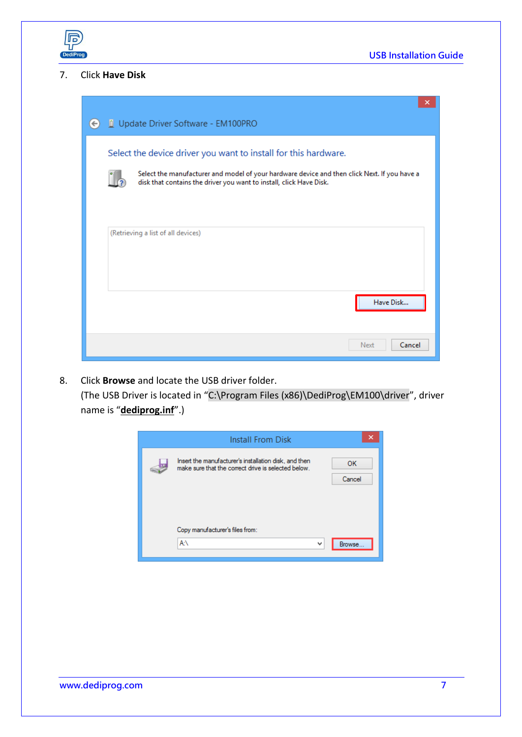

#### 7. Click **Have Disk**

| $(\Leftrightarrow)$ | Update Driver Software - EM100PRO                                                                                                                                                                                                      | × |
|---------------------|----------------------------------------------------------------------------------------------------------------------------------------------------------------------------------------------------------------------------------------|---|
|                     | Select the device driver you want to install for this hardware.<br>Select the manufacturer and model of your hardware device and then click Next. If you have a<br>disk that contains the driver you want to install, click Have Disk. |   |
|                     | (Retrieving a list of all devices)<br>Have Disk                                                                                                                                                                                        |   |
|                     | Cancel<br>Next                                                                                                                                                                                                                         |   |

8. Click **Browse** and locate the USB driver folder. (The USB Driver is located in "C:\Program Files (x86)\DediProg\EM100\driver", driver name is "**dediprog.inf**".)

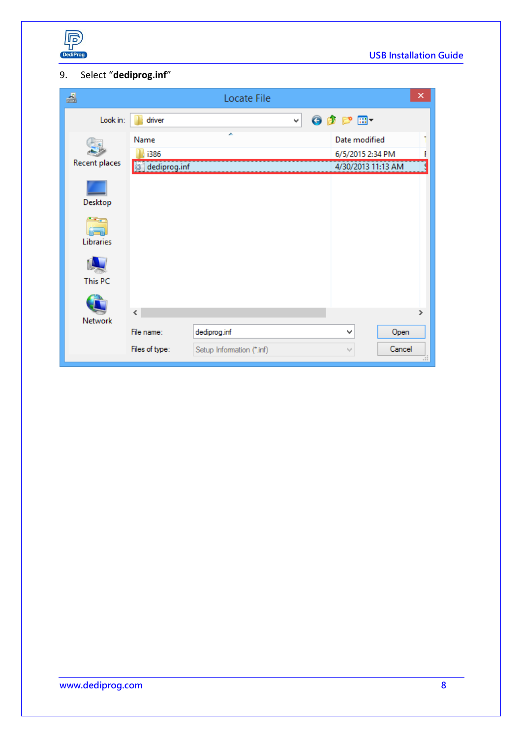

## 9. Select "**dediprog.inf**"

| 녬             |                              | Locate File                               |                                                         | × |
|---------------|------------------------------|-------------------------------------------|---------------------------------------------------------|---|
| Look in:      | driver                       | v                                         | 6 步 2 田                                                 |   |
| Recent places | Name<br>i386<br>dediprog.inf |                                           | Date modified<br>6/5/2015 2:34 PM<br>4/30/2013 11:13 AM |   |
| Desktop       |                              |                                           |                                                         |   |
| Libraries     |                              |                                           |                                                         |   |
| This PC       |                              |                                           |                                                         |   |
| Network       | $\checkmark$                 |                                           |                                                         | ⋗ |
|               | File name:<br>Files of type: | dediprog.inf<br>Setup Information (*.inf) | Open<br>v<br>Cancel<br>$\mathbb{I}_{\mathbb{Q}}$        |   |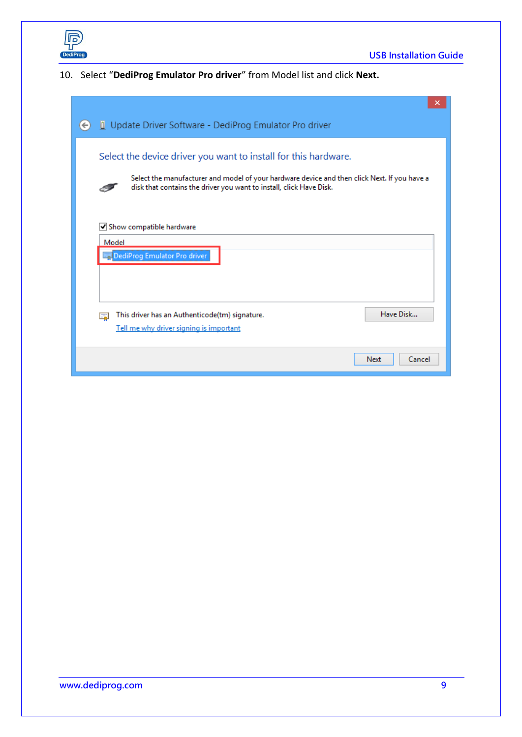

### 10. Select "**DediProg Emulator Pro driver**" from Model list and click **Next.**

|              | ×                                                                                                                                                                                                                                      |  |
|--------------|----------------------------------------------------------------------------------------------------------------------------------------------------------------------------------------------------------------------------------------|--|
| $\leftarrow$ | Update Driver Software - DediProg Emulator Pro driver                                                                                                                                                                                  |  |
|              | Select the device driver you want to install for this hardware.<br>Select the manufacturer and model of your hardware device and then click Next. If you have a<br>disk that contains the driver you want to install, click Have Disk. |  |
|              | Show compatible hardware<br>Model<br>DediProg Emulator Pro driver                                                                                                                                                                      |  |
|              | Have Disk<br>This driver has an Authenticode(tm) signature.<br>Tell me why driver signing is important                                                                                                                                 |  |
|              | Next<br>Cancel                                                                                                                                                                                                                         |  |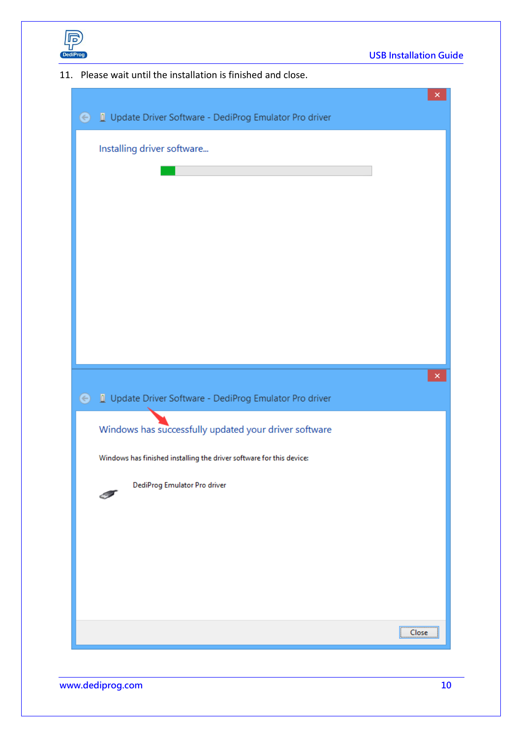

11. Please wait until the installation is finished and close.

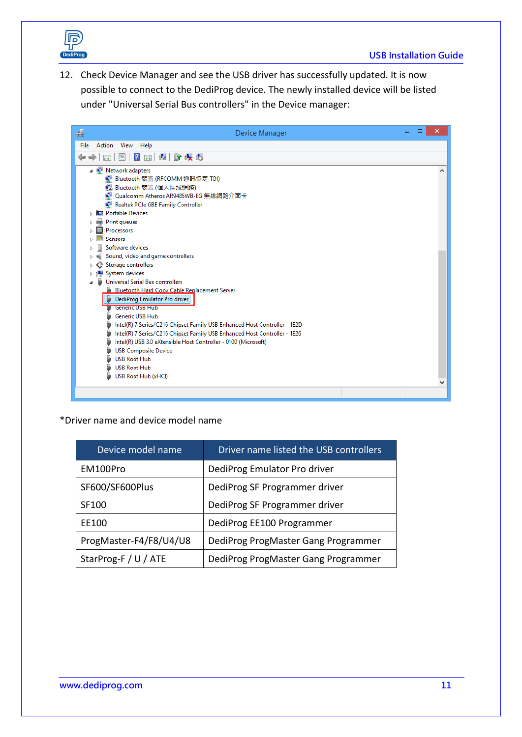

12. Check Device Manager and see the USB driver has successfully updated. It is now possible to connect to the DediProg device. The newly installed device will be listed under "Universal Serial Bus controllers" in the Device manager:

| 녬<br>Device Manager                                                                                                                                                                                                                                                                                                                                                                                                                                                                   |   |
|---------------------------------------------------------------------------------------------------------------------------------------------------------------------------------------------------------------------------------------------------------------------------------------------------------------------------------------------------------------------------------------------------------------------------------------------------------------------------------------|---|
| Action View Help<br>File                                                                                                                                                                                                                                                                                                                                                                                                                                                              |   |
| 2 亩 圆 胎 嗅 喝<br>⇚<br>請<br>圖                                                                                                                                                                                                                                                                                                                                                                                                                                                            |   |
| A D Network adapters<br>● Bluetooth 裝置 (RFCOMM 通訊協定 TDI)<br>Bluetooth 裝置 (個人區域網路)<br>D Qualcomm Atheros AR9485WB-EG 無線網路介面卡<br>Realtek PCIe GBE Family Controller<br><b>D</b> Portable Devices<br>Print queues<br>Processors<br>Sensors                                                                                                                                                                                                                                               | А |
| Software devices                                                                                                                                                                                                                                                                                                                                                                                                                                                                      |   |
| Sound, video and game controllers<br>Storage controllers<br>System devices<br><b>Universal Serial Bus controllers</b><br><b>Bluetooth Hard Copy Cable Replacement Server</b><br>DediProg Emulator Pro driver<br>Generic USB Hub<br><b>Generic USB Hub</b><br>Intel(R) 7 Series/C216 Chipset Family USB Enhanced Host Controller - 1E2D<br>Intel(R) 7 Series/C216 Chipset Family USB Enhanced Host Controller - 1E26<br>Intel(R) USB 3.0 eXtensible Host Controller - 0100 (Microsoft) |   |
| <b>USB Composite Device</b><br><b>USB Root Hub</b><br><b>USB Root Hub</b><br>USB Root Hub (xHCl)                                                                                                                                                                                                                                                                                                                                                                                      |   |

\*Driver name and device model name

| Device model name      | Driver name listed the USB controllers |
|------------------------|----------------------------------------|
| EM100Pro               | DediProg Emulator Pro driver           |
| SF600/SF600Plus        | DediProg SF Programmer driver          |
| SF100                  | DediProg SF Programmer driver          |
| EE100                  | DediProg EE100 Programmer              |
| ProgMaster-F4/F8/U4/U8 | DediProg ProgMaster Gang Programmer    |
| StarProg-F / U / ATE   | DediProg ProgMaster Gang Programmer    |